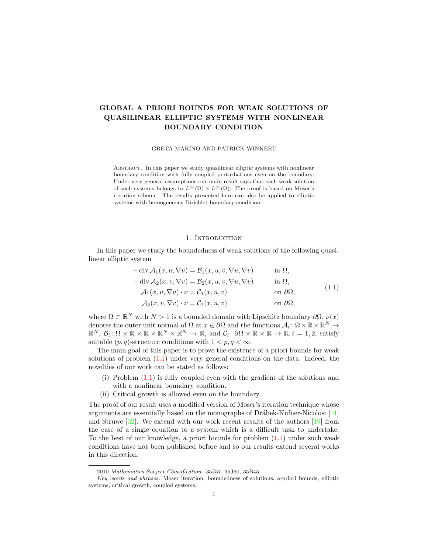# GLOBAL A PRIORI BOUNDS FOR WEAK SOLUTIONS OF QUASILINEAR ELLIPTIC SYSTEMS WITH NONLINEAR BOUNDARY CONDITION

GRETA MARINO AND PATRICK WINKERT

Abstract. In this paper we study quasilinear elliptic systems with nonlinear boundary condition with fully coupled perturbations even on the boundary. Under very general assumptions our main result says that each weak solution of such systems belongs to  $L^{\infty}(\overline{\Omega}) \times L^{\infty}(\overline{\Omega})$ . The proof is based on Moser's iteration scheme. The results presented here can also be applied to elliptic systems with homogeneous Dirichlet boundary condition.

## 1. INTRODUCTION

In this paper we study the boundedness of weak solutions of the following quasilinear elliptic system

<span id="page-0-0"></span>
$$
-\operatorname{div} \mathcal{A}_1(x, u, \nabla u) = \mathcal{B}_1(x, u, v, \nabla u, \nabla v) \quad \text{in } \Omega,
$$
  
\n
$$
-\operatorname{div} \mathcal{A}_2(x, v, \nabla v) = \mathcal{B}_2(x, u, v, \nabla u, \nabla v) \quad \text{in } \Omega,
$$
  
\n
$$
\mathcal{A}_1(x, u, \nabla u) \cdot \nu = \mathcal{C}_1(x, u, v) \quad \text{on } \partial \Omega,
$$
\n(1.1)

$$
\mathcal{A}_2(x,v,\nabla v)\cdot\nu=\mathcal{C}_2(x,u,v) \qquad \qquad \text{on }\partial\Omega,
$$

where  $\Omega \subset \mathbb{R}^N$  with  $N > 1$  is a bounded domain with Lipschitz boundary  $\partial \Omega$ ,  $\nu(x)$ denotes the outer unit normal of  $\Omega$  at  $x \in \partial\Omega$  and the functions  $\mathcal{A}_i : \Omega \times \mathbb{R} \times \mathbb{R}^N \to$  $\mathbb{R}^N, \mathcal{B}_i \colon \Omega \times \mathbb{R} \times \mathbb{R} \times \mathbb{R}^N \times \mathbb{R}^N \to \mathbb{R}, \text{ and } \mathcal{C}_i \colon \partial\Omega \times \mathbb{R} \times \mathbb{R} \to \mathbb{R}, i = 1, 2, \text{ satisfy}$ suitable  $(p, q)$ -structure conditions with  $1 < p, q < \infty$ .

The main goal of this paper is to prove the existence of a priori bounds for weak solutions of problem [\(1.1\)](#page-0-0) under very general conditions on the data. Indeed, the novelties of our work can be stated as follows:

- (i) Problem [\(1.1\)](#page-0-0) is fully coupled even with the gradient of the solutions and with a nonlinear boundary condition.
- (ii) Critical growth is allowed even on the boundary.

The proof of our result uses a modified version of Moser's iteration technique whose arguments are essentially based on the monographs of Drábek-Kufner-Nicolosi [\[11\]](#page-17-0) and Struwe [\[32\]](#page-18-0). We extend with our work recent results of the authors [\[19\]](#page-17-1) from the case of a single equation to a system which is a difficult task to undertake. To the best of our knowledge, a priori bounds for problem [\(1.1\)](#page-0-0) under such weak conditions have not been published before and so our results extend several works in this direction.

<sup>2010</sup> Mathematics Subject Classification. 35J57, 35J60, 35B45.

Key words and phrases. Moser iteration, boundedness of solutions, a-priori bounds, elliptic systems, critical growth, coupled systems.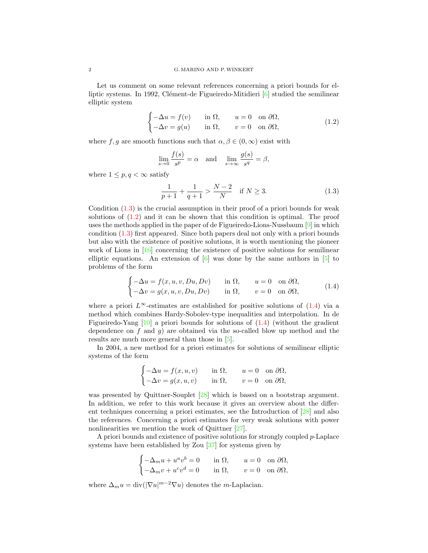Let us comment on some relevant references concerning a priori bounds for elliptic systems. In 1992, Clément-de Figueiredo-Mitidieri  $[6]$  studied the semilinear elliptic system

$$
\begin{cases}\n-\Delta u = f(v) & \text{in } \Omega, \quad u = 0 \quad \text{on } \partial \Omega, \\
-\Delta v = g(u) & \text{in } \Omega, \quad v = 0 \quad \text{on } \partial \Omega,\n\end{cases}
$$
\n(1.2)

where f, g are smooth functions such that  $\alpha, \beta \in (0, \infty)$  exist with

<span id="page-1-1"></span>
$$
\lim_{s \to 0} \frac{f(s)}{s^p} = \alpha \quad \text{and} \quad \lim_{s \to \infty} \frac{g(s)}{s^q} = \beta,
$$

where  $1 \leq p, q < \infty$  satisfy

 $\overline{\phantom{0}}$ 

<span id="page-1-2"></span><span id="page-1-0"></span>
$$
\frac{1}{p+1} + \frac{1}{q+1} > \frac{N-2}{N} \quad \text{if } N \ge 3. \tag{1.3}
$$

Condition [\(1.3\)](#page-1-0) is the crucial assumption in their proof of a priori bounds for weak solutions of [\(1.2\)](#page-1-1) and it can be shown that this condition is optimal. The proof uses the methods applied in the paper of de Figueiredo-Lions-Nussbaum  $[9]$  in which condition [\(1.3\)](#page-1-0) first appeared. Since both papers deal not only with a priori bounds but also with the existence of positive solutions, it is worth mentioning the pioneer work of Lions in [\[16\]](#page-17-4) concerning the existence of positive solutions for semilinear elliptic equations. An extension of  $\left[6\right]$  was done by the same authors in  $\left[5\right]$  to problems of the form

$$
\begin{cases}\n-\Delta u = f(x, u, v, Du, Dv) & \text{in } \Omega, & u = 0 \text{ on } \partial \Omega, \\
-\Delta v = g(x, u, v, Du, Dv) & \text{in } \Omega, & v = 0 \text{ on } \partial \Omega,\n\end{cases}
$$
\n(1.4)

where a priori  $L^{\infty}$ -estimates are established for positive solutions of  $(1.4)$  via a method which combines Hardy-Sobolev-type inequalities and interpolation. In de Figueiredo-Yang  $[10]$  a priori bounds for solutions of  $(1.4)$  (without the gradient dependence on  $f$  and  $g$ ) are obtained via the so-called blow up method and the results are much more general than those in [\[5\]](#page-17-5).

In 2004, a new method for a priori estimates for solutions of semilinear elliptic systems of the form

$$
\begin{cases}\n-\Delta u = f(x, u, v) & \text{in } \Omega, & u = 0 \text{ on } \partial\Omega, \\
-\Delta v = g(x, u, v) & \text{in } \Omega, & v = 0 \text{ on } \partial\Omega,\n\end{cases}
$$

was presented by Quittner-Souplet [\[28\]](#page-18-1) which is based on a bootstrap argument. In addition, we refer to this work because it gives an overview about the different techniques concerning a priori estimates, see the Introduction of [\[28\]](#page-18-1) and also the references. Concerning a priori estimates for very weak solutions with power nonlinearities we mention the work of Quittner [\[27\]](#page-18-2).

A priori bounds and existence of positive solutions for strongly coupled p-Laplace systems have been established by Zou [\[37\]](#page-18-3) for systems given by

$$
\begin{cases} -\Delta_m u + u^av^b = 0 & \text{in }\Omega, \qquad u = 0 \quad \text{on }\partial\Omega, \\ -\Delta_m v + u^cv^d = 0 & \text{in }\Omega, \qquad v = 0 \quad \text{on }\partial\Omega, \end{cases}
$$

where  $\Delta_m u = \text{div}(|\nabla u|^{m-2} \nabla u)$  denotes the *m*-Laplacian.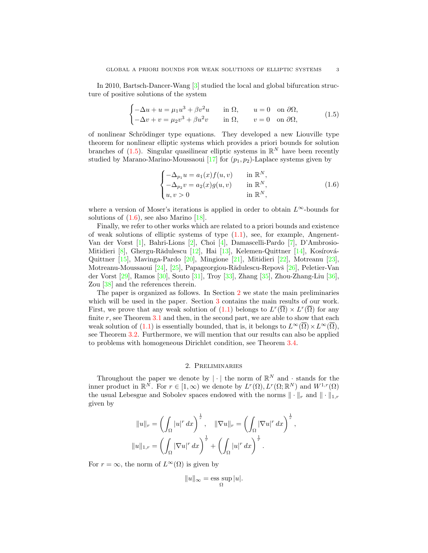In 2010, Bartsch-Dancer-Wang [\[3\]](#page-17-7) studied the local and global bifurcation structure of positive solutions of the system

$$
\begin{cases}\n-\Delta u + u = \mu_1 u^3 + \beta v^2 u & \text{in } \Omega, \quad u = 0 \quad \text{on } \partial \Omega, \\
-\Delta v + v = \mu_2 v^3 + \beta u^2 v & \text{in } \Omega, \quad v = 0 \quad \text{on } \partial \Omega,\n\end{cases}
$$
\n(1.5)

of nonlinear Schrödinger type equations. They developed a new Liouville type theorem for nonlinear elliptic systems which provides a priori bounds for solution branches of  $(1.5)$ . Singular quasilinear elliptic systems in  $\mathbb{R}^N$  have been recently studied by Marano-Marino-Moussaoui [\[17\]](#page-17-8) for  $(p_1, p_2)$ -Laplace systems given by

<span id="page-2-1"></span><span id="page-2-0"></span>
$$
\begin{cases}\n-\Delta_{p_1} u = a_1(x) f(u, v) & \text{in } \mathbb{R}^N, \\
-\Delta_{p_2} v = a_2(x) g(u, v) & \text{in } \mathbb{R}^N, \\
u, v > 0 & \text{in } \mathbb{R}^N,\n\end{cases}
$$
\n(1.6)

where a version of Moser's iterations is applied in order to obtain  $L^{\infty}$ -bounds for solutions of  $(1.6)$ , see also Marino  $[18]$ .

Finally, we refer to other works which are related to a priori bounds and existence of weak solutions of elliptic systems of type  $(1.1)$ , see, for example, Angenent-Van der Vorst [\[1\]](#page-17-10), Bahri-Lions [\[2\]](#page-17-11), Choi [\[4\]](#page-17-12), Damascelli-Pardo [\[7\]](#page-17-13), D'Ambrosio-Mitidieri  $[8]$ , Ghergu-Rădulescu  $[12]$ , Hai  $[13]$ , Kelemen-Quittner  $[14]$ , Kosírová-Quittner [\[15\]](#page-17-18), Mavinga-Pardo [\[20\]](#page-17-19), Mingione [\[21\]](#page-18-4), Mitidieri [\[22\]](#page-18-5), Motreanu [\[23\]](#page-18-6), Motreanu-Moussaoui [\[24\]](#page-18-7), [\[25\]](#page-18-8), Papageorgiou-Rădulescu-Repovš [\[26\]](#page-18-9), Peletier-Van der Vorst [\[29\]](#page-18-10), Ramos [\[30\]](#page-18-11), Souto [\[31\]](#page-18-12), Troy [\[33\]](#page-18-13), Zhang [\[35\]](#page-18-14), Zhou-Zhang-Liu [\[36\]](#page-18-15), Zou [\[38\]](#page-18-16) and the references therein.

The paper is organized as follows. In Section [2](#page-2-2) we state the main preliminaries which will be used in the paper. Section [3](#page-4-0) contains the main results of our work. First, we prove that any weak solution of  $(1.1)$  belongs to  $L^r(\overline{\Omega}) \times L^r(\overline{\Omega})$  for any finite  $r$ , see Theorem [3.1](#page-5-0) and then, in the second part, we are able to show that each weak solution of [\(1.1\)](#page-0-0) is essentially bounded, that is, it belongs to  $L^{\infty}(\overline{\Omega})\times L^{\infty}(\overline{\Omega})$ , see Theorem [3.2.](#page-12-0) Furthermore, we will mention that our results can also be applied to problems with homogeneous Dirichlet condition, see Theorem [3.4.](#page-16-0)

## 2. Preliminaries

<span id="page-2-2"></span>Throughout the paper we denote by  $|\cdot|$  the norm of  $\mathbb{R}^N$  and  $\cdot$  stands for the inner product in  $\mathbb{R}^N$ . For  $r \in [1,\infty)$  we denote by  $L^r(\Omega), L^r(\Omega; \mathbb{R}^N)$  and  $W^{1,r}(\Omega)$ the usual Lebesgue and Sobolev spaces endowed with the norms  $\|\cdot\|_r$  and  $\|\cdot\|_{1,r}$ given by

$$
||u||_r = \left(\int_{\Omega} |u|^r dx\right)^{\frac{1}{r}}, \quad ||\nabla u||_r = \left(\int_{\Omega} |\nabla u|^r dx\right)^{\frac{1}{r}},
$$

$$
||u||_{1,r} = \left(\int_{\Omega} |\nabla u|^r dx\right)^{\frac{1}{r}} + \left(\int_{\Omega} |u|^r dx\right)^{\frac{1}{r}}.
$$

For  $r = \infty$ , the norm of  $L^{\infty}(\Omega)$  is given by

$$
||u||_{\infty} = \operatorname*{ess\; sup}_{\Omega} |u|.
$$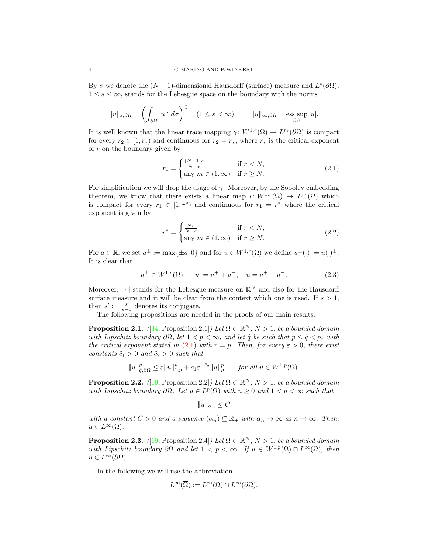By  $\sigma$  we denote the  $(N-1)$ -dimensional Hausdorff (surface) measure and  $L^s(\partial\Omega)$ ,  $1 \leq s \leq \infty$ , stands for the Lebesgue space on the boundary with the norms

$$
||u||_{s,\partial\Omega} = \left(\int_{\partial\Omega} |u|^s \,d\sigma\right)^{\frac{1}{s}} \quad (1 \le s < \infty), \qquad ||u||_{\infty,\partial\Omega} = \operatorname*{ess\;sup}_{\partial\Omega} |u|.
$$

It is well known that the linear trace mapping  $\gamma: W^{1,r}(\Omega) \to L^{r_2}(\partial\Omega)$  is compact for every  $r_2 \in [1, r_*)$  and continuous for  $r_2 = r_*$ , where  $r_*$  is the critical exponent of  $r$  on the boundary given by

<span id="page-3-0"></span>
$$
r_* = \begin{cases} \frac{(N-1)r}{N-r} & \text{if } r < N, \\ \text{any } m \in (1, \infty) & \text{if } r \ge N. \end{cases}
$$
 (2.1)

For simplification we will drop the usage of  $\gamma$ . Moreover, by the Sobolev embedding theorem, we know that there exists a linear map  $i: W^{1,r}(\Omega) \to L^{r_1}(\Omega)$  which is compact for every  $r_1 \in [1, r^*)$  and continuous for  $r_1 = r^*$  where the critical exponent is given by

<span id="page-3-2"></span><span id="page-3-1"></span>
$$
r^* = \begin{cases} \frac{Nr}{N-r} & \text{if } r < N, \\ \text{any } m \in (1, \infty) & \text{if } r \ge N. \end{cases} \tag{2.2}
$$

For  $a \in \mathbb{R}$ , we set  $a^{\pm} := \max\{\pm a, 0\}$  and for  $u \in W^{1,r}(\Omega)$  we define  $u^{\pm}(\cdot) := u(\cdot)^{\pm}$ . It is clear that

$$
u^{\pm} \in W^{1,r}(\Omega), \quad |u| = u^+ + u^-, \quad u = u^+ - u^-.
$$
 (2.3)

Moreover,  $|\cdot|$  stands for the Lebesgue measure on  $\mathbb{R}^N$  and also for the Hausdorff surface measure and it will be clear from the context which one is used. If  $s > 1$ , then  $s' := \frac{s}{s-1}$  denotes its conjugate.

The following propositions are needed in the proofs of our main results.

<span id="page-3-3"></span>**Proposition 2.1.** ([\[34,](#page-18-17) Proposition 2.1]) Let  $\Omega \subset \mathbb{R}^N$ ,  $N > 1$ , be a bounded domain with Lipschitz boundary  $\partial\Omega$ , let  $1 < p < \infty$ , and let  $\hat{q}$  be such that  $p \leq \hat{q} < p_*$  with the critical exponent stated in [\(2.1\)](#page-3-0) with  $r = p$ . Then, for every  $\varepsilon > 0$ , there exist constants  $\tilde{c}_1 > 0$  and  $\tilde{c}_2 > 0$  such that

$$
||u||_{\hat{q},\partial\Omega}^p \leq \varepsilon ||u||_{1,p}^p + \tilde{c}_1 \varepsilon^{-\tilde{c}_2} ||u||_p^p \quad \text{for all } u \in W^{1,p}(\Omega).
$$

<span id="page-3-4"></span>**Proposition 2.2.** ([\[19,](#page-17-1) Proposition 2.2]) Let  $\Omega \subset \mathbb{R}^N$ ,  $N > 1$ , be a bounded domain with Lipschitz boundary  $\partial\Omega$ . Let  $u \in L^p(\Omega)$  with  $u \geq 0$  and  $1 < p < \infty$  such that

$$
||u||_{\alpha_n} \leq C
$$

with a constant  $C > 0$  and a sequence  $(\alpha_n) \subseteq \mathbb{R}_+$  with  $\alpha_n \to \infty$  as  $n \to \infty$ . Then,  $u \in L^{\infty}(\Omega)$ .

<span id="page-3-5"></span>**Proposition 2.3.** ([\[19,](#page-17-1) Proposition 2.4]) Let  $\Omega \subset \mathbb{R}^N$ ,  $N > 1$ , be a bounded domain with Lipschitz boundary  $\partial\Omega$  and let  $1 < p < \infty$ . If  $u \in W^{1,p}(\Omega) \cap L^{\infty}(\Omega)$ , then  $u \in L^{\infty}(\partial\Omega)$ .

In the following we will use the abbreviation

$$
L^{\infty}(\overline{\Omega}) := L^{\infty}(\Omega) \cap L^{\infty}(\partial \Omega).
$$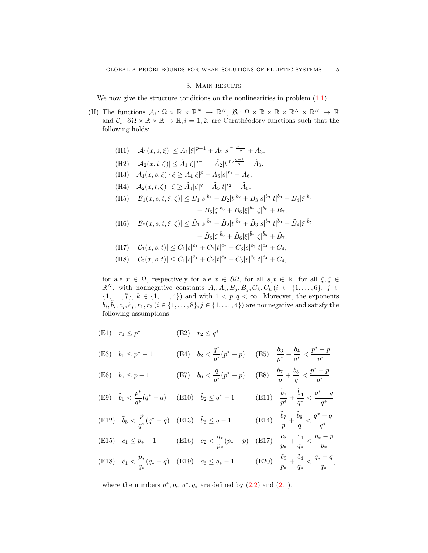#### 3. Main results

<span id="page-4-0"></span>We now give the structure conditions on the nonlinearities in problem  $(1.1)$ .

- (H) The functions  $A_i: \Omega \times \mathbb{R} \times \mathbb{R}^N \to \mathbb{R}^N$ ,  $B_i: \Omega \times \mathbb{R} \times \mathbb{R} \times \mathbb{R}^N \times \mathbb{R}^N \to \mathbb{R}$ and  $C_i: \partial\Omega \times \mathbb{R} \times \mathbb{R} \to \mathbb{R}, i = 1, 2$ , are Carathéodory functions such that the following holds:
	- (H1)  $|\mathcal{A}_1(x, s, \xi)| \leq A_1 |\xi|^{p-1} + A_2 |s|^{r_1 \frac{p-1}{p}} + A_3,$
	- (H2)  $|\mathcal{A}_2(x,t,\zeta)| \leq \tilde{A}_1 |\zeta|^{q-1} + \tilde{A}_2 |t|^{r_2 \frac{q-1}{q}} + \tilde{A}_3,$
	- (H3)  $A_1(x, s, \xi) \cdot \xi \geq A_4 |\xi|^p A_5 |s|^{r_1} A_6,$
	- (H4)  $A_2(x, t, \zeta) \cdot \zeta \geq \tilde{A}_4 |\zeta|^q \tilde{A}_5 |t|^{r_2} \tilde{A}_6$ ,
	- (H5)  $|\mathcal{B}_1(x, s, t, \xi, \zeta)| \leq B_1 |s|^{b_1} + B_2 |t|^{b_2} + B_3 |s|^{b_3} |t|^{b_4} + B_4 |\xi|^{b_5}$  $+ B_5 |\zeta|^{b_6} + B_6 |\xi|^{b_7} |\zeta|^{b_8} + B_7,$
	- $|\mathcal{B}_2(x, s, t, \xi, \zeta)| \leq \tilde{B}_1 |s|^{\tilde{b}_1} + \tilde{B}_2 |t|^{\tilde{b}_2} + \tilde{B}_3 |s|^{\tilde{b}_3} |t|^{\tilde{b}_4} + \tilde{B}_4 |\xi|^{\tilde{b}_5}$  $+~\tilde{B}_{5}|\zeta|\tilde{^{b}{}_{6}}+\tilde{B}_{6}|\xi|\tilde{^{b}{}^{7}}|\zeta|\tilde{^{b}{}_{8}}+\tilde{B}_{7},$

(H7) 
$$
|\mathcal{C}_1(x, s, t)| \leq C_1|s|^{c_1} + C_2|t|^{c_2} + C_3|s|^{c_3}|t|^{c_4} + C_4
$$
,

(H8) 
$$
|\mathcal{C}_2(x, s, t)| \leq \tilde{C}_1 |s|^{\tilde{c}_1} + \tilde{C}_2 |t|^{\tilde{c}_2} + \tilde{C}_3 |s|^{\tilde{c}_3} |t|^{\tilde{c}_4} + \tilde{C}_4,
$$

for a.e.  $x \in \Omega$ , respectively for a.e.  $x \in \partial\Omega$ , for all  $s, t \in \mathbb{R}$ , for all  $\xi, \zeta \in \Omega$  $\mathbb{R}^N$ , with nonnegative constants  $A_i, \tilde{A}_i, B_j, \tilde{B}_j, C_k, \tilde{C}_k$   $(i \in \{1, ..., 6\}, j \in \mathbb{R})$  $\{1,\ldots,7\}, k \in \{1,\ldots,4\}$  and with  $1 < p,q < \infty$ . Moreover, the exponents  $\tilde{b}_i, \tilde{b}_i, c_j, \tilde{c}_j, r_1, r_2$   $(i \in \{1, \ldots, 8\}, j \in \{1, \ldots, 4\})$  are nonnegative and satisfy the following assumptions

(E1)  $r_1 \leq p^*$  (E2)  $r_2 \leq q^*$ 

(E3) 
$$
b_1 \le p^* - 1
$$
 (E4)  $b_2 < \frac{q^*}{p^*}(p^* - p)$  (E5)  $\frac{b_3}{p^*} + \frac{b_4}{q^*} < \frac{p^* - p}{p^*}$ 

(E6) 
$$
b_5 \le p-1
$$
 (E7)  $b_6 < \frac{q}{p^*}(p^*-p)$  (E8)  $\frac{b_7}{p} + \frac{b_8}{q} < \frac{p^*-p}{p^*}$ 

(E9) 
$$
\tilde{b}_1 < \frac{p^*}{q^*}(q^*-q)
$$
 (E10)  $\tilde{b}_2 \le q^*-1$  (E11)  $\frac{\tilde{b}_3}{p^*} + \frac{\tilde{b}_4}{q^*} < \frac{q^*-q}{q^*}$ 

(E12) 
$$
\tilde{b}_5 < \frac{p}{q^*}(q^*-q)
$$
 (E13)  $\tilde{b}_6 \leq q-1$  (E14)  $\frac{\tilde{b}_7}{p} + \frac{\tilde{b}_8}{q} < \frac{q^*-q}{q^*}$ 

(E15) 
$$
c_1 \le p_* - 1
$$
 (E16)  $c_2 < \frac{q_*}{p_*}(p_* - p)$  (E17)  $\frac{c_3}{p_*} + \frac{c_4}{q_*} < \frac{p_* - p}{p_*}$ 

(E18)  $\tilde{c}_1 < \frac{p_*}{\tilde{c}_1}$  $\frac{p_*}{q_*}(q_* - q)$  (E19)  $\tilde{c}_6 \leq q_* - 1$  (E20)  $\frac{\tilde{c}_3}{p_*} + \frac{\tilde{c}_4}{q_*}$  $\frac{\tilde{c}_4}{q_*}<\frac{q_*-q}{q_*}$  $\frac{q}{q_*}$ ,

where the numbers  $p^*, p_*, q^*, q_*$  are defined by  $(2.2)$  and  $(2.1)$ .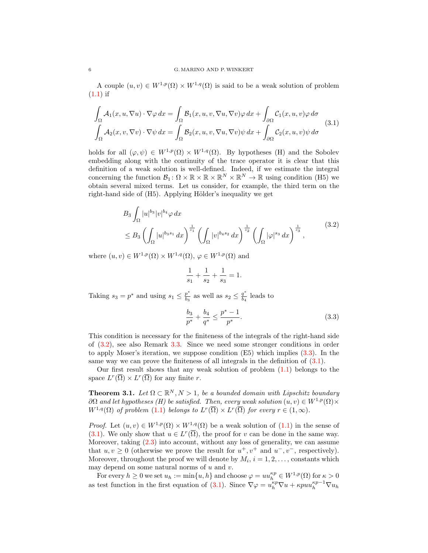A couple  $(u, v) \in W^{1, p}(\Omega) \times W^{1, q}(\Omega)$  is said to be a weak solution of problem  $(1.1)$  if

$$
\int_{\Omega} \mathcal{A}_1(x, u, \nabla u) \cdot \nabla \varphi \, dx = \int_{\Omega} \mathcal{B}_1(x, u, v, \nabla u, \nabla v) \varphi \, dx + \int_{\partial \Omega} \mathcal{C}_1(x, u, v) \varphi \, d\sigma
$$
\n
$$
\int_{\Omega} \mathcal{A}_2(x, v, \nabla v) \cdot \nabla \psi \, dx = \int_{\Omega} \mathcal{B}_2(x, u, v, \nabla u, \nabla v) \psi \, dx + \int_{\partial \Omega} \mathcal{C}_2(x, u, v) \psi \, d\sigma \tag{3.1}
$$

holds for all  $(\varphi, \psi) \in W^{1,p}(\Omega) \times W^{1,q}(\Omega)$ . By hypotheses (H) and the Sobolev embedding along with the continuity of the trace operator it is clear that this definition of a weak solution is well-defined. Indeed, if we estimate the integral concerning the function  $\mathcal{B}_1: \Omega \times \mathbb{R} \times \mathbb{R} \times \mathbb{R}^N \times \mathbb{R}^N \to \mathbb{R}$  using condition (H5) we obtain several mixed terms. Let us consider, for example, the third term on the right-hand side of (H5). Applying Hölder's inequality we get

$$
B_3 \int_{\Omega} |u|^{b_3} |v|^{b_4} \varphi \, dx
$$
  
\n
$$
\leq B_3 \left( \int_{\Omega} |u|^{b_3 s_1} dx \right)^{\frac{1}{s_1}} \left( \int_{\Omega} |v|^{b_4 s_2} dx \right)^{\frac{1}{s_2}} \left( \int_{\Omega} |\varphi|^{s_3} dx \right)^{\frac{1}{s_3}},
$$
\n(3.2)

where  $(u, v) \in W^{1,p}(\Omega) \times W^{1,q}(\Omega)$ ,  $\varphi \in W^{1,p}(\Omega)$  and

<span id="page-5-3"></span><span id="page-5-1"></span>
$$
\frac{1}{s_1} + \frac{1}{s_2} + \frac{1}{s_3} = 1.
$$

Taking  $s_3 = p^*$  and using  $s_1 \leq \frac{p^*}{b_2}$  $\frac{p^*}{b_3}$  as well as  $s_2 \leq \frac{q^*}{b_4}$  $\frac{q}{b_4}$  leads to

<span id="page-5-2"></span>
$$
\frac{b_3}{p^*} + \frac{b_4}{q^*} \le \frac{p^* - 1}{p^*}.
$$
\n(3.3)

This condition is necessary for the finiteness of the integrals of the right-hand side of [\(3.2\)](#page-5-1), see also Remark [3.3.](#page-15-0) Since we need some stronger conditions in order to apply Moser's iteration, we suppose condition (E5) which implies [\(3.3\)](#page-5-2). In the same way we can prove the finiteness of all integrals in the definition of  $(3.1)$ .

Our first result shows that any weak solution of problem [\(1.1\)](#page-0-0) belongs to the space  $L^r(\overline{\Omega}) \times L^r(\overline{\Omega})$  for any finite r.

<span id="page-5-0"></span>**Theorem 3.1.** Let  $\Omega \subset \mathbb{R}^N, N > 1$ , be a bounded domain with Lipschitz boundary  $\partial\Omega$  and let hypotheses (H) be satisfied. Then, every weak solution  $(u, v) \in W^{1, p}(\Omega) \times$  $W^{1,q}(\Omega)$  of problem [\(1.1\)](#page-0-0) belongs to  $L^r(\overline{\Omega}) \times L^r(\overline{\Omega})$  for every  $r \in (1,\infty)$ .

*Proof.* Let  $(u, v) \in W^{1,p}(\Omega) \times W^{1,q}(\Omega)$  be a weak solution of  $(1.1)$  in the sense of [\(3.1\)](#page-5-3). We only show that  $u \in L^r(\overline{\Omega})$ , the proof for v can be done in the same way. Moreover, taking [\(2.3\)](#page-3-2) into account, without any loss of generality, we can assume that  $u, v \geq 0$  (otherwise we prove the result for  $u^+, v^+$  and  $u^-, v^-$ , respectively). Moreover, throughout the proof we will denote by  $M_i$ ,  $i = 1, 2, \ldots$ , constants which may depend on some natural norms of  $u$  and  $v$ .

For every  $h \geq 0$  we set  $u_h := \min\{u, h\}$  and choose  $\varphi = uu_h^{\kappa p} \in W^{1,p}(\Omega)$  for  $\kappa > 0$ as test function in the first equation of [\(3.1\)](#page-5-3). Since  $\nabla \varphi = u_h^{kp} \nabla u + \kappa p u_h^{kp-1} \nabla u_h$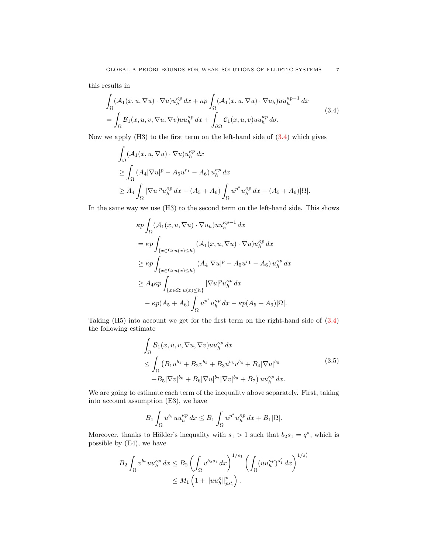this results in

$$
\int_{\Omega} (\mathcal{A}_1(x, u, \nabla u) \cdot \nabla u) u_h^{\kappa p} dx + \kappa p \int_{\Omega} (\mathcal{A}_1(x, u, \nabla u) \cdot \nabla u_h) u u_h^{\kappa p-1} dx \n= \int_{\Omega} \mathcal{B}_1(x, u, v, \nabla u, \nabla v) u u_h^{\kappa p} dx + \int_{\partial \Omega} \mathcal{C}_1(x, u, v) u u_h^{\kappa p} d\sigma.
$$
\n(3.4)

Now we apply  $(H3)$  to the first term on the left-hand side of  $(3.4)$  which gives

$$
\int_{\Omega} (\mathcal{A}_1(x, u, \nabla u) \cdot \nabla u) u_h^{\kappa p} dx
$$
\n
$$
\geq \int_{\Omega} (A_4 |\nabla u|^p - A_5 u^{r_1} - A_6) u_h^{\kappa p} dx
$$
\n
$$
\geq A_4 \int_{\Omega} |\nabla u|^p u_h^{\kappa p} dx - (A_5 + A_6) \int_{\Omega} u^{p^*} u_h^{\kappa p} dx - (A_5 + A_6) |\Omega|.
$$

In the same way we use (H3) to the second term on the left-hand side. This shows

$$
\kappa p \int_{\Omega} (\mathcal{A}_1(x, u, \nabla u) \cdot \nabla u_h) u u_h^{\kappa p-1} dx
$$
  
\n
$$
= \kappa p \int_{\{x \in \Omega : u(x) \le h\}} (\mathcal{A}_1(x, u, \nabla u) \cdot \nabla u) u_h^{\kappa p} dx
$$
  
\n
$$
\ge \kappa p \int_{\{x \in \Omega : u(x) \le h\}} (A_4 |\nabla u|^p - A_5 u^{r_1} - A_6) u_h^{\kappa p} dx
$$
  
\n
$$
\ge A_4 \kappa p \int_{\{x \in \Omega : u(x) \le h\}} |\nabla u|^p u_h^{\kappa p} dx
$$
  
\n
$$
- \kappa p (A_5 + A_6) \int_{\Omega} u^{p^*} u_h^{\kappa p} dx - \kappa p (A_5 + A_6) |\Omega|.
$$

Taking (H5) into account we get for the first term on the right-hand side of [\(3.4\)](#page-6-0) the following estimate

<span id="page-6-1"></span>
$$
\int_{\Omega} \mathcal{B}_1(x, u, v, \nabla u, \nabla v) uu_h^{\kappa p} dx \n\leq \int_{\Omega} (B_1 u^{b_1} + B_2 v^{b_2} + B_3 u^{b_3} v^{b_4} + B_4 |\nabla u|^{b_5} \n+ B_5 |\nabla v|^{b_6} + B_6 |\nabla u|^{b_7} |\nabla v|^{b_8} + B_7) uu_h^{\kappa p} dx.
$$
\n(3.5)

We are going to estimate each term of the inequality above separately. First, taking into account assumption (E3), we have

$$
B_1 \int_{\Omega} u^{b_1} u u_h^{\kappa p} dx \leq B_1 \int_{\Omega} u^{p^*} u_h^{\kappa p} dx + B_1 |\Omega|.
$$

Moreover, thanks to Hölder's inequality with  $s_1 > 1$  such that  $b_2 s_1 = q^*$ , which is possible by (E4), we have

$$
B_2 \int_{\Omega} v^{b_2} u u_h^{\kappa p} dx \le B_2 \left( \int_{\Omega} v^{b_2 s_1} dx \right)^{1/s_1} \left( \int_{\Omega} (u u_h^{\kappa p})^{s'_1} dx \right)^{1/s'_1}
$$
  

$$
\le M_1 \left( 1 + ||u u_h^{\kappa}||_{ps'_1}^p \right).
$$

<span id="page-6-0"></span>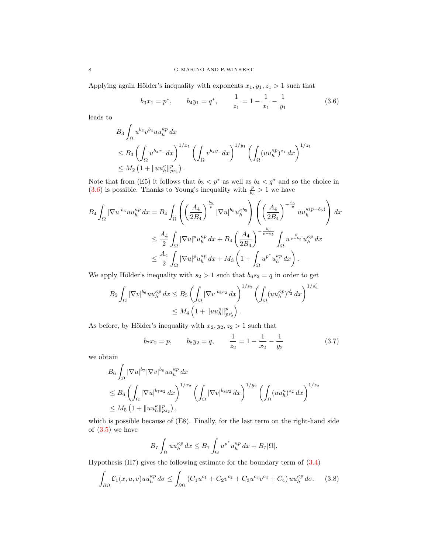Applying again Hölder's inequality with exponents  $x_1, y_1, z_1 > 1$  such that

<span id="page-7-0"></span>
$$
b_3x_1 = p^*,
$$
  $b_4y_1 = q^*,$   $\frac{1}{z_1} = 1 - \frac{1}{x_1} - \frac{1}{y_1}$  (3.6)

leads to

$$
B_3 \int_{\Omega} u^{b_3} v^{b_4} u u_h^{\kappa p} dx
$$
  
\n
$$
\leq B_3 \left( \int_{\Omega} u^{b_3 x_1} dx \right)^{1/x_1} \left( \int_{\Omega} v^{b_4 y_1} dx \right)^{1/y_1} \left( \int_{\Omega} (u u_h^{\kappa p})^{z_1} dx \right)^{1/z_1}
$$
  
\n
$$
\leq M_2 \left( 1 + \|u u_h^{\kappa}\|_{p z_1}^p \right).
$$

Note that from (E5) it follows that  $b_3 < p^*$  as well as  $b_4 < q^*$  and so the choice in [\(3.6\)](#page-7-0) is possible. Thanks to Young's inequality with  $\frac{p}{b_5} > 1$  we have

$$
B_{4} \int_{\Omega} |\nabla u|^{b_{5}} u u_{h}^{\kappa p} dx = B_{4} \int_{\Omega} \left( \left( \frac{A_{4}}{2B_{4}} \right)^{\frac{b_{5}}{p}} |\nabla u|^{b_{5}} u_{h}^{\kappa b_{5}} \right) \left( \left( \frac{A_{4}}{2B_{4}} \right)^{-\frac{b_{5}}{p}} u u_{h}^{\kappa (p-b_{5})} \right) dx
$$
  

$$
\leq \frac{A_{4}}{2} \int_{\Omega} |\nabla u|^{p} u_{h}^{\kappa p} dx + B_{4} \left( \frac{A_{4}}{2B_{4}} \right)^{-\frac{b_{5}}{p-b_{5}}} \int_{\Omega} u^{\frac{p}{p-b_{5}}} u_{h}^{\kappa p} dx
$$
  

$$
\leq \frac{A_{4}}{2} \int_{\Omega} |\nabla u|^{p} u_{h}^{\kappa p} dx + M_{3} \left( 1 + \int_{\Omega} u^{p^{*}} u_{h}^{\kappa p} dx \right).
$$

We apply Hölder's inequality with  $s_2 > 1$  such that  $b_6s_2 = q$  in order to get

$$
B_5 \int_{\Omega} |\nabla v|^{b_6} u u_h^{\kappa p} dx \le B_5 \left( \int_{\Omega} |\nabla v|^{b_6 s_2} dx \right)^{1/s_2} \left( \int_{\Omega} (u u_h^{\kappa p})^{s'_2} dx \right)^{1/s'_2}
$$
  

$$
\le M_4 \left( 1 + ||u u_h^{\kappa}||_{ps'_2}^p \right).
$$

As before, by Hölder's inequality with  $x_2, y_2, z_2 > 1$  such that

<span id="page-7-2"></span>
$$
b_7x_2 = p,
$$
  $b_8y_2 = q,$   $\frac{1}{z_2} = 1 - \frac{1}{x_2} - \frac{1}{y_2}$  (3.7)

we obtain

$$
B_6 \int_{\Omega} |\nabla u|^{b_7} |\nabla v|^{b_8} u u_h^{\kappa p} dx
$$
  
\n
$$
\leq B_6 \left( \int_{\Omega} |\nabla u|^{b_7 x_2} dx \right)^{1/x_2} \left( \int_{\Omega} |\nabla v|^{b_8 y_2} dx \right)^{1/y_2} \left( \int_{\Omega} (u u_h^{\kappa})^{z_2} dx \right)^{1/z_2}
$$
  
\n
$$
\leq M_5 \left( 1 + \|u u_h^{\kappa}\|_{p z_2}^p \right),
$$

which is possible because of (E8). Finally, for the last term on the right-hand side of  $(3.5)$  we have

<span id="page-7-1"></span>
$$
B_7 \int_{\Omega} u u_h^{\kappa p} dx \le B_7 \int_{\Omega} u^{p^*} u_h^{\kappa p} dx + B_7 |\Omega|.
$$

Hypothesis  $(H7)$  gives the following estimate for the boundary term of  $(3.4)$ 

$$
\int_{\partial\Omega} C_1(x, u, v) u u_h^{\kappa p} d\sigma \le \int_{\partial\Omega} (C_1 u^{c_1} + C_2 v^{c_2} + C_3 u^{c_3} v^{c_4} + C_4) u u_h^{\kappa p} d\sigma. \tag{3.8}
$$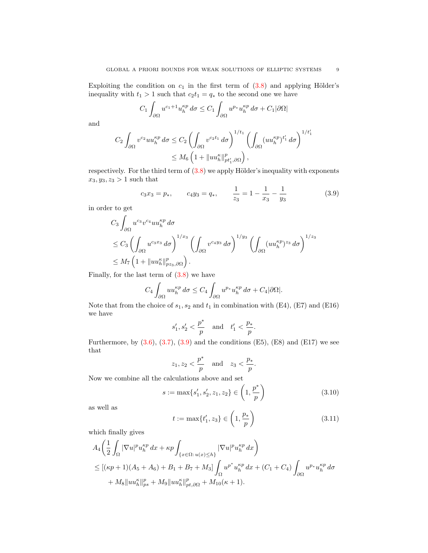Exploiting the condition on  $c_1$  in the first term of  $(3.8)$  and applying Hölder's inequality with  $t_1 > 1$  such that  $c_2 t_1 = q_*$  to the second one we have

$$
C_1 \int_{\partial \Omega} u^{c_1+1} u_h^{\kappa p} d\sigma \le C_1 \int_{\partial \Omega} u^{p*} u_h^{\kappa p} d\sigma + C_1 |\partial \Omega|
$$

and

$$
C_2 \int_{\partial\Omega} v^{c_2} u u_h^{\kappa p} d\sigma \le C_2 \left( \int_{\partial\Omega} v^{c_2 t_1} d\sigma \right)^{1/t_1} \left( \int_{\partial\Omega} (u u_h^{\kappa p})^{t'_1} d\sigma \right)^{1/t'_1}
$$
  

$$
\le M_6 \left( 1 + ||u u_h^{\kappa}||_{pt'_1,\partial\Omega}^p \right),
$$

respectively. For the third term of  $(3.8)$  we apply Hölder's inequality with exponents  $x_3, y_3, z_3 > 1$  such that

<span id="page-8-0"></span>
$$
c_3x_3 = p_*,
$$
  $c_4y_3 = q_*,$   $\frac{1}{z_3} = 1 - \frac{1}{x_3} - \frac{1}{y_3}$  (3.9)

in order to get

$$
C_3 \int_{\partial \Omega} u^{c_3} v^{c_4} u u_h^{\kappa p} d\sigma
$$
  
\n
$$
\leq C_3 \left( \int_{\partial \Omega} u^{c_3 x_3} d\sigma \right)^{1/x_3} \left( \int_{\partial \Omega} v^{c_4 y_3} d\sigma \right)^{1/y_3} \left( \int_{\partial \Omega} (u u_h^{\kappa p})^{z_3} d\sigma \right)^{1/z_3}
$$
  
\n
$$
\leq M_7 \left( 1 + ||u u_h^{\kappa}||_{p z_3, \partial \Omega}^p \right).
$$

Finally, for the last term of  $(3.8)$  we have

$$
C_4 \int_{\partial \Omega} u u_h^{\kappa p} d\sigma \leq C_4 \int_{\partial \Omega} u^{p_*} u_h^{\kappa p} d\sigma + C_4 |\partial \Omega|.
$$

Note that from the choice of  $s_1, s_2$  and  $t_1$  in combination with (E4), (E7) and (E16) we have

$$
s_1',s_2'<\frac{p^*}{p}\quad\text{and}\quad t_1'<\frac{p_*}{p}.
$$

Furthermore, by  $(3.6), (3.7), (3.9)$  $(3.6), (3.7), (3.9)$  $(3.6), (3.7), (3.9)$  $(3.6), (3.7), (3.9)$  $(3.6), (3.7), (3.9)$  and the conditions  $(E5), (E8)$  and  $(E17)$  we see that

$$
z_1, z_2 < \frac{p^*}{p} \quad \text{and} \quad z_3 < \frac{p_*}{p}.
$$

Now we combine all the calculations above and set

<span id="page-8-2"></span>
$$
s := \max\{s_1', s_2', z_1, z_2\} \in \left(1, \frac{p^*}{p}\right) \tag{3.10}
$$

as well as

<span id="page-8-1"></span>
$$
t := \max\{t'_1, z_3\} \in \left(1, \frac{p_*}{p}\right) \tag{3.11}
$$

which finally gives

$$
A_4\left(\frac{1}{2}\int_{\Omega}|\nabla u|^p u_h^{\kappa p} dx + \kappa p \int_{\{x \in \Omega : u(x) \le h\}} |\nabla u|^p u_h^{\kappa p} dx\right) \leq [(\kappa p + 1)(A_5 + A_6) + B_1 + B_7 + M_3] \int_{\Omega} u^{p^*} u_h^{\kappa p} dx + (C_1 + C_4) \int_{\partial\Omega} u^{p_*} u_h^{\kappa p} d\sigma + M_8 \|u u_h^{\kappa}\|_{ps}^p + M_9 \|u u_h^{\kappa}\|_{pt,\partial\Omega}^p + M_{10}(\kappa + 1).
$$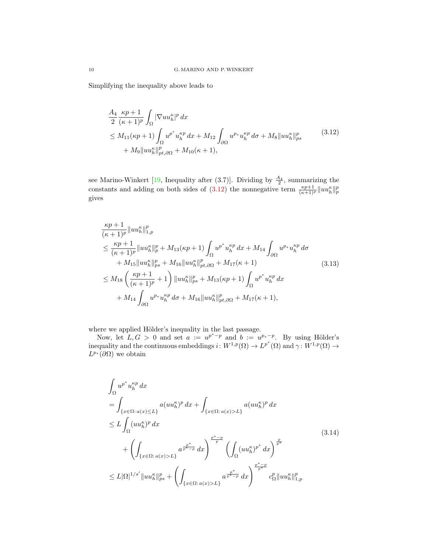Simplifying the inequality above leads to

<span id="page-9-0"></span>
$$
\frac{A_4}{2} \frac{\kappa p + 1}{(\kappa + 1)^p} \int_{\Omega} |\nabla u u_h^{\kappa}|^p dx \n\leq M_{11}(\kappa p + 1) \int_{\Omega} u^{p^*} u_h^{\kappa p} dx + M_{12} \int_{\partial \Omega} u^{p_*} u_h^{\kappa p} d\sigma + M_8 \|u u_h^{\kappa}\|_{ps}^p \n+ M_9 \|u u_h^{\kappa}\|_{pt,\partial \Omega}^p + M_{10}(\kappa + 1),
$$
\n(3.12)

see Marino-Winkert [\[19,](#page-17-1) Inequality after (3.7)]. Dividing by  $\frac{A_4}{2}$ , summarizing the constants and adding on both sides of [\(3.12\)](#page-9-0) the nonnegative term  $\frac{\kappa p+1}{(\kappa+1)^p}||uu_h^{\kappa}||_p^p$ gives

<span id="page-9-1"></span>
$$
\frac{\kappa p+1}{(\kappa+1)^p} \|u u_h^{\kappa}\|_{1,p}^p
$$
\n
$$
\leq \frac{\kappa p+1}{(\kappa+1)^p} \|u u_h^{\kappa}\|_p^p + M_{13}(\kappa p+1) \int_{\Omega} u^{p^*} u_h^{\kappa p} dx + M_{14} \int_{\partial\Omega} u^{p^*} u_h^{\kappa p} d\sigma
$$
\n
$$
+ M_{15} \|u u_h^{\kappa}\|_{ps}^p + M_{16} \|u u_h^{\kappa}\|_{pt,\partial\Omega}^p + M_{17}(\kappa+1) \tag{3.13}
$$
\n
$$
\leq M_{18} \left(\frac{\kappa p+1}{(\kappa+1)^p} + 1\right) \|u u_h^{\kappa}\|_{ps}^p + M_{13}(\kappa p+1) \int_{\Omega} u^{p^*} u_h^{\kappa p} dx
$$
\n
$$
+ M_{14} \int_{\partial\Omega} u^{p^*} u_h^{\kappa p} d\sigma + M_{16} \|u u_h^{\kappa}\|_{pt,\partial\Omega}^p + M_{17}(\kappa+1),
$$

where we applied Hölder's inequality in the last passage.

Now, let  $L, G > 0$  and set  $a := u^{p^* - p}$  and  $b := u^{p_* - p}$ . By using Hölder's inequality and the continuous embeddings  $i: W^{1,p}(\Omega) \to L^{p^*}(\Omega)$  and  $\gamma: W^{1,p}(\Omega) \to$  $L^{p*}(\partial\Omega)$  we obtain

<span id="page-9-2"></span>
$$
\int_{\Omega} u^{p^*} u_h^{kp} dx
$$
\n
$$
= \int_{\{x \in \Omega : a(x) \le L\}} a(uu_h^{k})^p dx + \int_{\{x \in \Omega : a(x) > L\}} a(uu_h^{k})^p dx
$$
\n
$$
\le L \int_{\Omega} (uu_h^{k})^p dx
$$
\n
$$
+ \left( \int_{\{x \in \Omega : a(x) > L\}} a^{\frac{p^*}{p^*}} dx \right)^{\frac{p^* - p}{p}} \left( \int_{\Omega} (uu_h^{k})^{p^*} dx \right)^{\frac{p}{p^*}}
$$
\n
$$
\le L |\Omega|^{1/s'} \|uu_h^{k}\|_{ps}^{p} + \left( \int_{\{x \in \Omega : a(x) > L\}} a^{\frac{p^*}{p^*}} dx \right)^{\frac{p^* - p}{p^*}} dx \right)^{\frac{p^* - p}{p^*}}
$$
\n
$$
c_{\Omega}^p \|uu_h^{k}\|_{1,p}^p
$$
\n(3.14)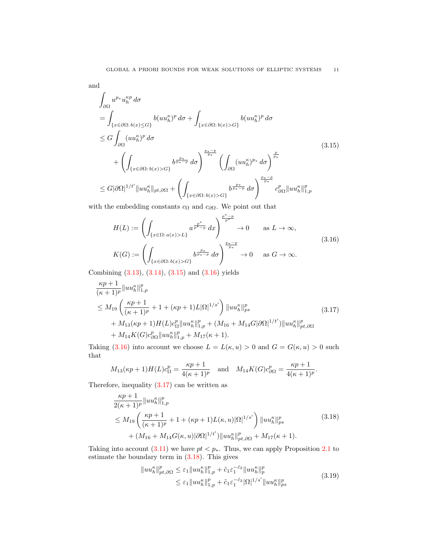and

$$
\int_{\partial\Omega} u^{p*} u_h^{\kappa p} d\sigma
$$
\n
$$
= \int_{\{x \in \partial\Omega : b(x) \le G\}} b(uu_h^{\kappa})^p d\sigma + \int_{\{x \in \partial\Omega : b(x) > G\}} b(uu_h^{\kappa})^p d\sigma
$$
\n
$$
\le G \int_{\partial\Omega} (uu_h^{\kappa})^p d\sigma
$$
\n
$$
+ \left( \int_{\{x \in \partial\Omega : b(x) > G\}} b^{\frac{p_*}{p_*}} d\sigma \right)^{\frac{p_* - p}{p_*}} \left( \int_{\partial\Omega} (uu_h^{\kappa})^{p_*} d\sigma \right)^{\frac{p}{p_*}}
$$
\n
$$
\le G |\partial\Omega|^{1/t'} \|uu_h^{\kappa}\|_{pt,\partial\Omega} + \left( \int_{\{x \in \partial\Omega : b(x) > G\}} b^{\frac{p_*}{p_*}} d\sigma \right)^{\frac{p_* - p}{p_*}} c_{\partial\Omega}^p \|uu_h^{\kappa}\|_{1,p}^p
$$
\n(3.15)

with the embedding constants  $c_\Omega$  and  $c_{\partial\Omega}.$  We point out that

<span id="page-10-1"></span><span id="page-10-0"></span>
$$
H(L) := \left( \int_{\{x \in \Omega : a(x) > L\}} a^{\frac{p^*}{p^*-p}} dx \right)^{\frac{p^*-p}{p^*}} \to 0 \quad \text{as } L \to \infty,
$$
\n
$$
K(G) := \left( \int_{\{x \in \partial\Omega : b(x) > G\}} b^{\frac{p^*}{p^*-p}} d\sigma \right)^{\frac{p^*-p}{p^*}} \to 0 \quad \text{as } G \to \infty.
$$
\n
$$
(3.16)
$$

Combining [\(3.13\)](#page-9-1), [\(3.14\)](#page-9-2), [\(3.15\)](#page-10-0) and [\(3.16\)](#page-10-1) yields

$$
\frac{\kappa p+1}{(\kappa+1)^p} \|u u_h^{\kappa}\|_{1,p}^p
$$
\n
$$
\leq M_{19} \left( \frac{\kappa p+1}{(\kappa+1)^p} + 1 + (\kappa p+1)L|\Omega|^{1/s'} \right) \|u u_h^{\kappa}\|_{ps}^p
$$
\n
$$
+ M_{13}(\kappa p+1)H(L)c_{\Omega}^p \|u u_h^{\kappa}\|_{1,p}^p + (M_{16} + M_{14}G|\partial\Omega|^{1/t'}) \|u u_h^{\kappa}\|_{pt,\partial\Omega}^p
$$
\n
$$
+ M_{14}K(G)c_{\partial\Omega}^p \|u u_h^{\kappa}\|_{1,p}^p + M_{17}(\kappa+1).
$$
\n(3.17)

Taking [\(3.16\)](#page-10-1) into account we choose  $L = L(\kappa, u) > 0$  and  $G = G(\kappa, u) > 0$  such that

<span id="page-10-2"></span>
$$
M_{13}(\kappa p + 1)H(L)c_{\Omega}^p = \frac{\kappa p + 1}{4(\kappa + 1)^p}
$$
 and  $M_{14}K(G)c_{\partial\Omega}^p = \frac{\kappa p + 1}{4(\kappa + 1)^p}.$ 

Therefore, inequality  $(3.17)$  can be written as

$$
\frac{\kappa p+1}{2(\kappa+1)^p} \|uu_h^{\kappa}\|_{1,p}^p
$$
\n
$$
\leq M_{19} \left(\frac{\kappa p+1}{(\kappa+1)^p} + 1 + (\kappa p+1)L(\kappa, u)|\Omega|^{1/s'}\right) \|uu_h^{\kappa}\|_{ps}^p
$$
\n
$$
+ (M_{16} + M_{14}G(\kappa, u)|\partial\Omega|^{1/t'}) \|uu_h^{\kappa}\|_{pt,\partial\Omega}^p + M_{17}(\kappa+1).
$$
\n(3.18)

Taking into account [\(3.11\)](#page-8-1) we have  $pt < p_*$ . Thus, we can apply Proposition [2.1](#page-3-3) to estimate the boundary term in  $(3.18)$ . This gives

<span id="page-10-4"></span><span id="page-10-3"></span>
$$
||uu_h^{\kappa}||_{pt,\partial\Omega}^p \leq \varepsilon_1 ||uu_h^{\kappa}||_{1,p}^p + \tilde{c}_1 \varepsilon_1^{-\tilde{c}_2} ||uu_h^{\kappa}||_p^p
$$
  

$$
\leq \varepsilon_1 ||uu_h^{\kappa}||_{1,p}^p + \tilde{c}_1 \varepsilon_1^{-\tilde{c}_2} |\Omega|^{1/s'} ||uu_h^{\kappa}||_{ps}^p
$$
 (3.19)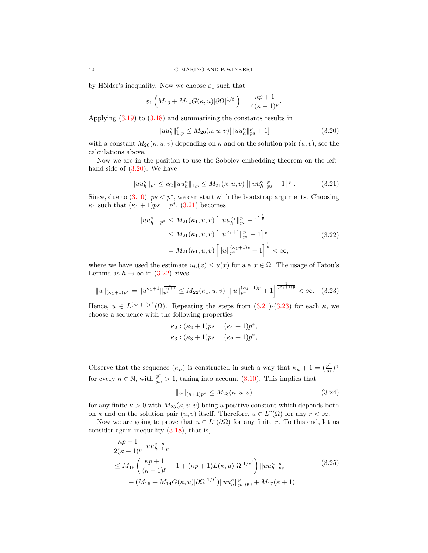by Hölder's inequality. Now we choose  $\varepsilon_1$  such that

$$
\varepsilon_1\left(M_{16} + M_{14}G(\kappa, u)|\partial\Omega|^{1/t'}\right) = \frac{\kappa p + 1}{4(\kappa + 1)^p}.
$$

Applying [\(3.19\)](#page-10-4) to [\(3.18\)](#page-10-3) and summarizing the constants results in

<span id="page-11-1"></span><span id="page-11-0"></span>
$$
||uu_h^{\kappa}||_{1,p}^p \le M_{20}(\kappa, u, v)[||uu_h^{\kappa}||_{ps}^p + 1] \tag{3.20}
$$

with a constant  $M_{20}(\kappa, u, v)$  depending on  $\kappa$  and on the solution pair  $(u, v)$ , see the calculations above.

Now we are in the position to use the Sobolev embedding theorem on the lefthand side of  $(3.20)$ . We have

$$
||uu_h^{\kappa}||_{p^*} \le c_{\Omega}||uu_h^{\kappa}||_{1,p} \le M_{21}(\kappa, u, v) \left[||uu_h^{\kappa}||_{ps}^p + 1\right]^{\frac{1}{p}}.
$$
 (3.21)

Since, due to  $(3.10)$ ,  $ps < p^*$ , we can start with the bootstrap arguments. Choosing  $\kappa_1$  such that  $(\kappa_1 + 1)ps = p^*$ , [\(3.21\)](#page-11-1) becomes

$$
||uu_h^{\kappa_1}||_{p^*} \le M_{21}(\kappa_1, u, v) \left[||uu_h^{\kappa_1}||_{ps}^p + 1\right]^{\frac{1}{p}}
$$
  
\n
$$
\le M_{21}(\kappa_1, u, v) \left[||u^{\kappa_1+1}||_{ps}^p + 1\right]^{\frac{1}{p}}
$$
  
\n
$$
= M_{21}(\kappa_1, u, v) \left[||u||_{p^*}^{(\kappa_1+1)p} + 1\right]^{\frac{1}{p}} < \infty,
$$
\n(3.22)

where we have used the estimate  $u_h(x) \leq u(x)$  for a.e.  $x \in \Omega$ . The usage of Fatou's Lemma as  $h \to \infty$  in [\(3.22\)](#page-11-2) gives

$$
||u||_{(\kappa_1+1)p^*} = ||u^{\kappa_1+1}||_{p^*}^{\frac{1}{\kappa_1+1}} \le M_{22}(\kappa_1, u, v) \left[ ||u||_{p^*}^{(\kappa_1+1)p} + 1 \right]^{\frac{1}{(\kappa_1+1)p}} < \infty. \quad (3.23)
$$

Hence,  $u \in L^{(\kappa_1+1)p^*}(\Omega)$ . Repeating the steps from  $(3.21)-(3.23)$  $(3.21)-(3.23)$  $(3.21)-(3.23)$  for each  $\kappa$ , we choose a sequence with the following properties

<span id="page-11-3"></span><span id="page-11-2"></span>
$$
\kappa_2 : (\kappa_2 + 1)ps = (\kappa_1 + 1)p^*,\n\kappa_3 : (\kappa_3 + 1)ps = (\kappa_2 + 1)p^*,\n\vdots \qquad \vdots
$$

Observe that the sequence  $(\kappa_n)$  is constructed in such a way that  $\kappa_n + 1 = (\frac{p^*}{n^2})^2$  $\frac{p^*}{ps} \big)^n$ for every  $n \in \mathbb{N}$ , with  $\frac{p^*}{ps} > 1$ , taking into account [\(3.10\)](#page-8-2). This implies that

<span id="page-11-5"></span><span id="page-11-4"></span>
$$
||u||_{(\kappa+1)p^*} \le M_{23}(\kappa, u, v) \tag{3.24}
$$

for any finite  $\kappa > 0$  with  $M_{23}(\kappa, u, v)$  being a positive constant which depends both on  $\kappa$  and on the solution pair  $(u, v)$  itself. Therefore,  $u \in L^r(\Omega)$  for any  $r < \infty$ .

Now we are going to prove that  $u \in L^r(\partial\Omega)$  for any finite r. To this end, let us consider again inequality [\(3.18\)](#page-10-3), that is,

$$
\frac{\kappa p+1}{2(\kappa+1)^p} \|u u_h^{\kappa}\|_{1,p}^p
$$
\n
$$
\leq M_{19} \left( \frac{\kappa p+1}{(\kappa+1)^p} + 1 + (\kappa p+1) L(\kappa, u) |\Omega|^{1/s'} \right) \|u u_h^{\kappa}\|_{ps}^p
$$
\n
$$
+ (M_{16} + M_{14} G(\kappa, u) |\partial \Omega|^{1/t'}) \|u u_h^{\kappa}\|_{pt,\partial\Omega}^p + M_{17}(\kappa+1).
$$
\n(3.25)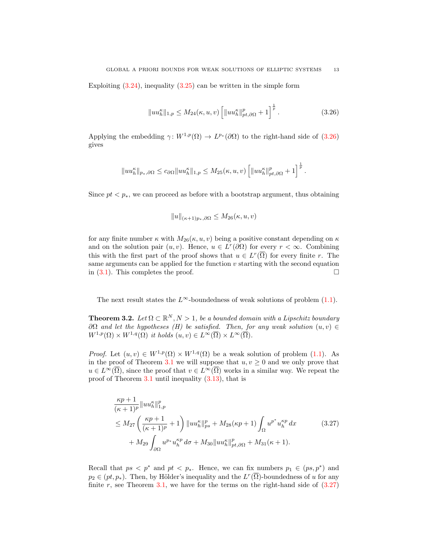Exploiting  $(3.24)$ , inequality  $(3.25)$  can be written in the simple form

<span id="page-12-1"></span>
$$
||uu_h^{\kappa}||_{1,p} \le M_{24}(\kappa, u, v) \left[||uu_h^{\kappa}||_{pt,\partial\Omega}^p + 1\right]^{\frac{1}{p}}.
$$
 (3.26)

Applying the embedding  $\gamma: W^{1,p}(\Omega) \to L^{p_*}(\partial\Omega)$  to the right-hand side of  $(3.26)$ gives

$$
||uu_h^{\kappa}||_{p_*,\partial\Omega} \leq c_{\partial\Omega}||uu_h^{\kappa}||_{1,p} \leq M_{25}(\kappa,u,v)\left[||uu_h^{\kappa}||_{pt,\partial\Omega}^p+1\right]^{\frac{1}{p}}.
$$

Since  $pt < p<sub>*</sub>$ , we can proceed as before with a bootstrap argument, thus obtaining

$$
||u||_{(\kappa+1)p_*,\partial\Omega} \leq M_{26}(\kappa,u,v)
$$

for any finite number  $\kappa$  with  $M_{26}(\kappa, u, v)$  being a positive constant depending on  $\kappa$ and on the solution pair  $(u, v)$ . Hence,  $u \in L^r(\partial\Omega)$  for every  $r < \infty$ . Combining this with the first part of the proof shows that  $u \in L^r(\overline{\Omega})$  for every finite r. The same arguments can be applied for the function  $v$  starting with the second equation in  $(3.1)$ . This completes the proof.

The next result states the  $L^{\infty}$ -boundedness of weak solutions of problem [\(1.1\)](#page-0-0).

<span id="page-12-0"></span>**Theorem 3.2.** Let  $\Omega \subset \mathbb{R}^N$ ,  $N > 1$ , be a bounded domain with a Lipschitz boundary  $\partial\Omega$  and let the hypotheses (H) be satisfied. Then, for any weak solution  $(u, v) \in$  $W^{1,p}(\Omega) \times W^{1,q}(\Omega)$  it holds  $(u, v) \in L^{\infty}(\overline{\Omega}) \times L^{\infty}(\overline{\Omega})$ .

*Proof.* Let  $(u, v) \in W^{1,p}(\Omega) \times W^{1,q}(\Omega)$  be a weak solution of problem  $(1.1)$ . As in the proof of Theorem [3.1](#page-5-0) we will suppose that  $u, v > 0$  and we only prove that  $u \in L^{\infty}(\overline{\Omega})$ , since the proof that  $v \in L^{\infty}(\overline{\Omega})$  works in a similar way. We repeat the proof of Theorem [3.1](#page-5-0) until inequality [\(3.13\)](#page-9-1), that is

<span id="page-12-2"></span>
$$
\frac{\kappa p+1}{(\kappa+1)^p} \|u u_h^{\kappa}\|_{1,p}^p
$$
\n
$$
\leq M_{27} \left( \frac{\kappa p+1}{(\kappa+1)^p} + 1 \right) \|u u_h^{\kappa}\|_{ps}^p + M_{28}(\kappa p+1) \int_{\Omega} u^{p^*} u_h^{\kappa p} dx \qquad (3.27)
$$
\n
$$
+ M_{29} \int_{\partial \Omega} u^{p*} u_h^{\kappa p} d\sigma + M_{30} \|u u_h^{\kappa}\|_{pt,\partial \Omega}^p + M_{31}(\kappa+1).
$$

Recall that  $ps < p^*$  and  $pt < p_*$ . Hence, we can fix numbers  $p_1 \in (ps, p^*)$  and  $p_2 \in (pt, p_*)$ . Then, by Hölder's inequality and the  $L^r(\overline{\Omega})$ -boundedness of u for any finite r, see Theorem [3.1,](#page-5-0) we have for the terms on the right-hand side of  $(3.27)$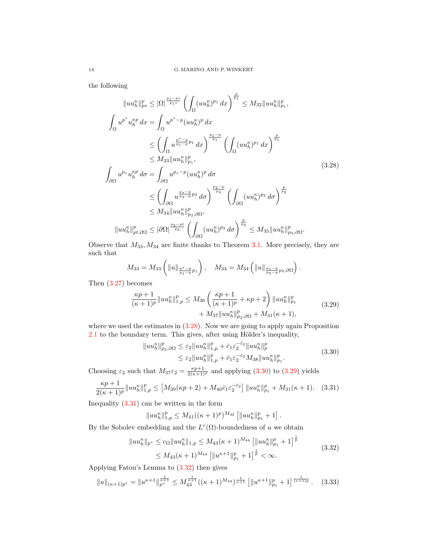the following

$$
||uu_{h}^{\kappa}||_{ps}^{p} \leq |\Omega|^{\frac{p_{1}-ps}{p_{1}s}} \left( \int_{\Omega} (uu_{h}^{\kappa})^{p_{1}} dx \right)^{\frac{p}{p_{1}}} \leq M_{32} ||uu_{h}^{\kappa}||_{p_{1}}^{p},
$$
  

$$
\int_{\Omega} u^{p^{*}} u_{h}^{\kappa p} dx = \int_{\Omega} u^{p^{*}-p} (uu_{h}^{\kappa})^{p} dx
$$
  

$$
\leq \left( \int_{\Omega} u^{\frac{p^{*}-p}{p_{1}-p_{1}}} dx \right)^{\frac{p_{1}-p}{p_{1}}} \left( \int_{\Omega} (uu_{h}^{\kappa})^{p_{1}} dx \right)^{\frac{p}{p_{1}}}
$$
  

$$
\leq M_{33} ||uu_{h}^{\kappa}||_{p_{1}}^{p},
$$
  

$$
\int_{\partial\Omega} u^{p_{*}} u_{h}^{\kappa p} d\sigma = \int_{\partial\Omega} u^{p_{*}-p} (uu_{h}^{\kappa})^{p} d\sigma
$$
  

$$
\leq \left( \int_{\partial\Omega} u^{\frac{p_{*}-p}{p_{2}-p_{2}} d\sigma \right)^{\frac{p_{2}-p}{p_{2}}} \left( \int_{\partial\Omega} (uu_{h}^{\kappa})^{p_{2}} d\sigma \right)^{\frac{p}{p_{2}}}
$$
  

$$
\leq M_{34} ||uu_{h}^{\kappa}||_{p_{2},\partial\Omega}^{p},
$$
  

$$
||uu_{h}^{\kappa}||_{pt}^{p}, \partial\Omega \leq |\partial\Omega|^{\frac{p_{2}-pt}{p_{2}}} \left( \int_{\partial\Omega} (uu_{h}^{\kappa})^{p_{2}} d\sigma \right)^{\frac{p}{p_{2}}} \leq M_{35} ||uu_{h}^{\kappa}||_{p_{2},\partial\Omega}^{p}.
$$

Observe that  $M_{33}$ ,  $M_{34}$  are finite thanks to Theorem [3.1.](#page-5-0) More precisely, they are such that

<span id="page-13-0"></span>
$$
M_{33} = M_{33} \left( \|u\|_{\frac{p^*-p}{p_1-p}p_1} \right), \quad M_{34} = M_{34} \left( \|u\|_{\frac{p_*-p}{p_2-p}p_2, \partial \Omega} \right).
$$

Then [\(3.27\)](#page-12-2) becomes

$$
\frac{\kappa p+1}{(\kappa+1)^p} \|u u_h^{\kappa}\|_{1,p}^p \le M_{36} \left( \frac{\kappa p+1}{(\kappa+1)^p} + \kappa p+2 \right) \|u u_h^{\kappa}\|_{p_1}^p + M_{37} \|u u_h^{\kappa}\|_{p_2,\partial\Omega}^p + M_{31}(\kappa+1), \tag{3.29}
$$

where we used the estimates in  $(3.28)$ . Now we are going to apply again Proposition  $2.1$  to the boundary term. This gives, after using Hölder's inequality,

<span id="page-13-2"></span><span id="page-13-1"></span>
$$
||uu_h^{\kappa}||_{p_2,\partial\Omega}^p \leq \varepsilon_2 ||uu_h^{\kappa}||_{1,p}^p + \bar{c}_1 \varepsilon_2^{-\bar{c}_2} ||uu_h^{\kappa}||_p^p
$$
  

$$
\leq \varepsilon_2 ||uu_h^{\kappa}||_{1,p}^p + \bar{c}_1 \varepsilon_2^{-\bar{c}_2} M_{38} ||uu_h^{\kappa}||_p^p.
$$
 (3.30)

Choosing  $\varepsilon_2$  such that  $M_{37}\varepsilon_2 = \frac{\kappa p + 1}{2(\kappa + 1)p}$  and applying  $(3.30)$  to  $(3.29)$  yields

$$
\frac{\kappa p+1}{2(\kappa+1)^p} \|u u_h^{\kappa}\|_{1,p}^p \le [M_{39}(\kappa p+2) + M_{40} \bar{c}_1 \varepsilon_2^{-\bar{c}_2}] \|u u_h^{\kappa}\|_{p_1}^p + M_{31}(\kappa+1). \tag{3.31}
$$

Inequality  $(3.31)$  can be written in the form

<span id="page-13-5"></span><span id="page-13-4"></span><span id="page-13-3"></span>
$$
||uu_h^{\kappa}||_{1,p}^p \leq M_{41}((\kappa+1)^p)^{M_{42}} [||uu_h^{\kappa}||_{p_1}^p+1].
$$

By the Sobolev embedding and the  $L^r(\Omega)$ -boundedness of u we obtain

$$
||uu_h^{\kappa}||_{p^*} \le c_{\Omega}||uu_h^{\kappa}||_{1,p} \le M_{43}(\kappa+1)^{M_{44}} \left[||uu_h^{\kappa}||_{p_1}^p+1\right]^{\frac{1}{p}} \le M_{43}(\kappa+1)^{M_{44}} \left[||u^{\kappa+1}||_{p_1}^p+1\right]^{\frac{1}{p}} < \infty.
$$
\n(3.32)

Applying Fatou's Lemma to [\(3.32\)](#page-13-4) then gives

$$
||u||_{(\kappa+1)p^*} = ||u^{\kappa+1}||_{p^*}^{\frac{1}{\kappa+1}} \le M_{43}^{\frac{1}{\kappa+1}}((\kappa+1)^{M_{44}})^{\frac{1}{\kappa+1}} \left[||u^{\kappa+1}||_{p_1}^p + 1\right]^{\frac{1}{(\kappa+1)p}}.
$$
 (3.33)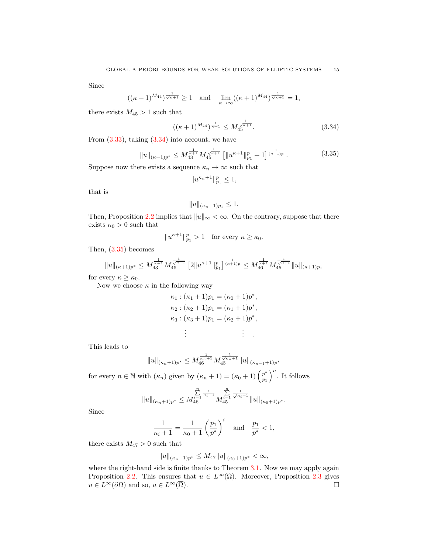Since

$$
((\kappa+1)^{M_{44}})^{\frac{1}{\sqrt{\kappa+1}}} \ge 1 \quad \text{and} \quad \lim_{\kappa \to \infty} ((\kappa+1)^{M_{44}})^{\frac{1}{\sqrt{\kappa+1}}} = 1,
$$

there exists  $M_{45} > 1$  such that

$$
((\kappa+1)^{M_{44}})^{\frac{1}{\kappa+1}} \le M_{45}^{\frac{1}{\sqrt{\kappa+1}}}.
$$
\n(3.34)

From [\(3.33\)](#page-13-5), taking [\(3.34\)](#page-14-0) into account, we have

$$
||u||_{(\kappa+1)p^*} \le M_{43}^{\frac{1}{\kappa+1}} M_{45}^{\frac{1}{\sqrt{\kappa+1}}} \left[ ||u^{\kappa+1}||_{p_1}^p + 1 \right]^{\frac{1}{(\kappa+1)p}}.
$$
 (3.35)

Suppose now there exists a sequence  $\kappa_n \to \infty$  such that

<span id="page-14-1"></span><span id="page-14-0"></span>
$$
||u^{\kappa_n+1}||_{p_1}^p \le 1,
$$

that is

$$
||u||_{(\kappa_n+1)p_1} \leq 1.
$$

Then, Proposition [2.2](#page-3-4) implies that  $||u||_{\infty} < \infty$ . On the contrary, suppose that there exists  $\kappa_0 > 0$  such that

$$
||u^{\kappa+1}||_{p_1}^p > 1 \quad \text{for every } \kappa \ge \kappa_0.
$$

Then, [\(3.35\)](#page-14-1) becomes

$$
||u||_{(\kappa+1)p^*} \leq M_{43}^{\frac{1}{\kappa+1}} M_{45}^{\frac{1}{\sqrt{\kappa+1}}} [2||u^{\kappa+1}||_{p_1}^p]^{\frac{1}{(\kappa+1)p}} \leq M_{46}^{\frac{1}{\kappa+1}} M_{45}^{\frac{1}{\sqrt{\kappa+1}}} ||u||_{(\kappa+1)p_1}
$$

for every  $\kappa \geq \kappa_0$ .

Now we choose  $\kappa$  in the following way

$$
\kappa_1 : (\kappa_1 + 1)p_1 = (\kappa_0 + 1)p^*,
$$
  
\n
$$
\kappa_2 : (\kappa_2 + 1)p_1 = (\kappa_1 + 1)p^*,
$$
  
\n
$$
\kappa_3 : (\kappa_3 + 1)p_1 = (\kappa_2 + 1)p^*,
$$
  
\n
$$
\vdots
$$

This leads to

$$
||u||_{(\kappa_n+1)p^*} \leq M_{46}^{\frac{1}{\kappa_n+1}} M_{45}^{\frac{1}{\sqrt{\kappa_n+1}}} ||u||_{(\kappa_{n-1}+1)p^*}
$$

for every  $n \in \mathbb{N}$  with  $(\kappa_n)$  given by  $(\kappa_n + 1) = (\kappa_0 + 1) \left(\frac{p^*}{n_1}\right)$  $\left(\frac{p^*}{p_1}\right)^n$ . It follows

$$
||u||_{(\kappa_n+1)p^*} \leq M_{46}^{\sum_{i=1}^n \frac{1}{\kappa_i+1}} M_{45}^{\sum_{i=1}^n \frac{1}{\sqrt{\kappa_i+1}}} ||u||_{(\kappa_0+1)p^*}.
$$

Since

$$
\frac{1}{\kappa_i + 1} = \frac{1}{\kappa_0 + 1} \left(\frac{p_1}{p^*}\right)^i \quad \text{and} \quad \frac{p_1}{p^*} < 1,
$$

there exists  $M_{47} > 0$  such that

$$
||u||_{(\kappa_n+1)p^*} \le M_{47}||u||_{(\kappa_0+1)p^*} < \infty,
$$

where the right-hand side is finite thanks to Theorem [3.1.](#page-5-0) Now we may apply again Proposition [2.2.](#page-3-4) This ensures that  $u \in L^{\infty}(\Omega)$ . Moreover, Proposition [2.3](#page-3-5) gives  $u \in L^{\infty}(\partial\Omega)$  and so,  $u \in L^{\infty}(\overline{\Omega})$ .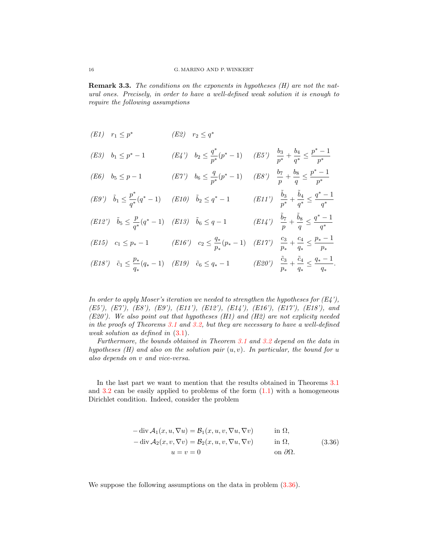<span id="page-15-0"></span>**Remark 3.3.** The conditions on the exponents in hypotheses  $(H)$  are not the natural ones. Precisely, in order to have a well-defined weak solution it is enough to require the following assumptions

(E1) 
$$
r_1 \leq p^*
$$
 (E2)  $r_2 \leq q^*$   
\n(E3)  $b_1 \leq p^* - 1$  (E4')  $b_2 \leq \frac{q^*}{p^*}(p^* - 1)$  (E5')  $\frac{b_3}{p^*} + \frac{b_4}{q^*} \leq \frac{p^* - 1}{p^*}$   
\n(E6)  $b_5 \leq p - 1$  (E7')  $b_6 \leq \frac{q}{p^*}(p^* - 1)$  (E8')  $\frac{b_7}{p} + \frac{b_8}{q} \leq \frac{p^* - 1}{p^*}$   
\n(E9')  $\tilde{b}_1 \leq \frac{p^*}{q^*}(q^* - 1)$  (E10)  $\tilde{b}_2 \leq q^* - 1$  (E11')  $\frac{\tilde{b}_3}{p^*} + \frac{\tilde{b}_4}{q^*} \leq \frac{q^* - 1}{q^*}$   
\n(E12')  $\tilde{b}_5 \leq \frac{p}{q^*}(q^* - 1)$  (E13)  $\tilde{b}_6 \leq q - 1$  (E14')  $\frac{\tilde{b}_7}{p} + \frac{\tilde{b}_8}{q} \leq \frac{q^* - 1}{q^*}$   
\n(E15)  $c_1 \leq p_* - 1$  (E16')  $c_2 \leq \frac{q_*}{p_*}(p_* - 1)$  (E17')  $\frac{c_3}{p_*} + \frac{c_4}{q_*} \leq \frac{p_* - 1}{p_*}$   
\n(E18')  $\tilde{c}_1 \leq \frac{p_*}{q_*}(q_* - 1)$  (E19)  $\tilde{c}_6 \leq q_* - 1$  (E20')  $\frac{\tilde{c}_3}{p_*} + \frac{\tilde{c}_4}{q_*} \leq \frac{q_* - 1}{q_*}$ 

In order to apply Moser's iteration we needed to strengthen the hypotheses for  $(E_4')$ , (E5'), (E7'), (E8'), (E9'), (E11'), (E12'), (E14'), (E16'), (E17'), (E18'), and (E20'). We also point out that hypotheses  $(H1)$  and  $(H2)$  are not explicity needed in the proofs of Theorems [3.1](#page-5-0) and [3.2,](#page-12-0) but they are necessary to have a well-defined weak solution as defined in [\(3.1\)](#page-5-3).

.

Furthermore, the bounds obtained in Theorem [3.1](#page-5-0) and [3.2](#page-12-0) depend on the data in hypotheses  $(H)$  and also on the solution pair  $(u, v)$ . In particular, the bound for u also depends on v and vice-versa.

In the last part we want to mention that the results obtained in Theorems [3.1](#page-5-0) and  $3.2$  can be easily applied to problems of the form  $(1.1)$  with a homogeneous Dirichlet condition. Indeed, consider the problem

<span id="page-15-1"></span>
$$
-\operatorname{div} \mathcal{A}_1(x, u, \nabla u) = \mathcal{B}_1(x, u, v, \nabla u, \nabla v) \quad \text{in } \Omega,
$$
  

$$
-\operatorname{div} \mathcal{A}_2(x, v, \nabla v) = \mathcal{B}_2(x, u, v, \nabla u, \nabla v) \quad \text{in } \Omega,
$$
  

$$
u = v = 0 \quad \text{on } \partial \Omega.
$$
 (3.36)

We suppose the following assumptions on the data in problem  $(3.36)$ .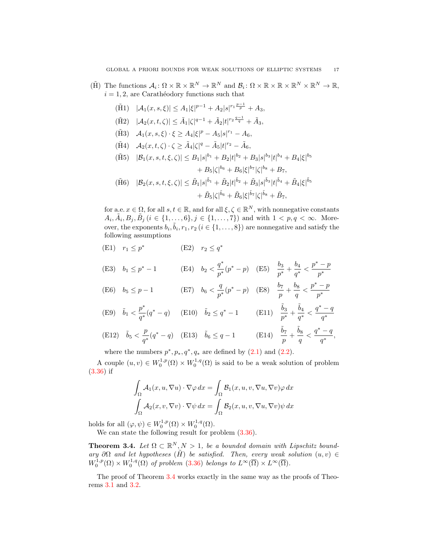- $(\tilde{H})$  The functions  $\mathcal{A}_i \colon \Omega \times \mathbb{R} \times \mathbb{R}^N \to \mathbb{R}^N$  and  $\mathcal{B}_i \colon \Omega \times \mathbb{R} \times \mathbb{R} \times \mathbb{R}^N \times \mathbb{R}^N \to \mathbb{R}$ ,  $i = 1, 2$ , are Carathéodory functions such that
	- $(\tilde{H}1) \quad |\mathcal{A}_1(x, s, \xi)| \leq A_1 |\xi|^{p-1} + A_2 |s|^{r_1 \frac{p-1}{p}} + A_3,$
	- $(\tilde{H}2) \quad |\mathcal{A}_2(x,t,\zeta)| \leq \tilde{A}_1 |\zeta|^{q-1} + \tilde{A}_2 |t|^{r_2 \frac{q-1}{q}} + \tilde{A}_3,$
	- $(\tilde{H}3)$   $\mathcal{A}_1(x, s, \xi) \cdot \xi \geq A_4 |\xi|^p A_5 |s|^{r_1} A_6,$
	- $(\tilde{H}4)$   $\mathcal{A}_2(x,t,\zeta)\cdot\zeta \geq \tilde{A}_4|\zeta|^q \tilde{A}_5|t|^{r_2} \tilde{A}_6,$
	- $|\tilde{H}_1(f_1)| \leq |B_1(s)|^{\delta_1} + |B_2|t|^{\delta_2} + |B_3|s|^{\delta_3}|t|^{\delta_4} + |B_4|\xi|^{\delta_5}$  $+ B_5 |\zeta|^{b_6} + B_6 |\xi|^{b_7} |\zeta|^{b_8} + B_7,$

$$
\begin{aligned} (\tilde{\mathbf{H}}6) \quad & |\mathcal{B}_2(x,s,t,\xi,\zeta)| \leq \tilde{B}_1|s|^{\tilde{b}_1} + \tilde{B}_2|t|^{\tilde{b}_2} + \tilde{B}_3|s|^{\tilde{b}_3}|t|^{\tilde{b}_4} + \tilde{B}_4|\xi|^{\tilde{b}_5} \\ &+ \tilde{B}_5|\zeta|^{\tilde{b}_6} + \tilde{B}_6|\xi|^{\tilde{b}_7}|\zeta|^{\tilde{b}_8} + \tilde{B}_7, \end{aligned}
$$

for a.e.  $x \in \Omega$ , for all  $s, t \in \mathbb{R}$ , and for all  $\xi, \zeta \in \mathbb{R}^N$ , with nonnegative constants  $A_i, \tilde{A}_i, B_j, \tilde{B}_j \ (i \in \{1, ..., 6\}, j \in \{1, ..., 7\})$  and with  $1 < p, q < \infty$ . Moreover, the exponents  $b_i, \tilde{b}_i, r_1, r_2$   $(i \in \{1, ..., 8\})$  are nonnegative and satisfy the following assumptions

(E1)  $r_1 \leq p^*$  (E2)  $r_2 \leq q^*$ 

(E3) 
$$
b_1 \le p^* - 1
$$
 (E4)  $b_2 < \frac{q^*}{p^*}(p^* - p)$  (E5)  $\frac{b_3}{p^*} + \frac{b_4}{q^*} < \frac{p^* - p}{p^*}$ 

(E6) 
$$
b_5 \le p-1
$$
 (E7)  $b_6 < \frac{q}{p^*}(p^*-p)$  (E8)  $\frac{b_7}{p} + \frac{b_8}{q} < \frac{p^*-p}{p^*}$ 

(E9) 
$$
\tilde{b}_1 < \frac{p^*}{q^*}(q^*-q)
$$
 (E10)  $\tilde{b}_2 \le q^*-1$  (E11)  $\frac{\tilde{b}_3}{p^*} + \frac{\tilde{b}_4}{q^*} < \frac{q^*-q}{q^*}$   
\n(E12)  $\tilde{b}_2 < p^*_{(q^*-q)}$  (E13)  $\tilde{b}_2 < p^*_{(q^*-q)}$  (E14)  $\tilde{b}_7 = \tilde{b}_8 > q^*-q$ 

(E12) 
$$
\tilde{b}_5 < \frac{p}{q^*}(q^*-q)
$$
 (E13)  $\tilde{b}_6 \leq q-1$  (E14)  $\frac{b_7}{p} + \frac{b_8}{q} < \frac{q-q}{q^*}$ ,

where the numbers  $p^*, p_*, q^*, q_*$  are defined by  $(2.1)$  and  $(2.2)$ .

A couple  $(u, v) \in W_0^{1,p}(\Omega) \times W_0^{1,q}(\Omega)$  is said to be a weak solution of problem [\(3.36\)](#page-15-1) if

$$
\int_{\Omega} A_1(x, u, \nabla u) \cdot \nabla \varphi \, dx = \int_{\Omega} \mathcal{B}_1(x, u, v, \nabla u, \nabla v) \varphi \, dx
$$

$$
\int_{\Omega} A_2(x, v, \nabla v) \cdot \nabla \psi \, dx = \int_{\Omega} \mathcal{B}_2(x, u, v, \nabla u, \nabla v) \psi \, dx
$$

holds for all  $(\varphi, \psi) \in W_0^{1,p}(\Omega) \times W_0^{1,q}(\Omega)$ .

We can state the following result for problem  $(3.36)$ .

<span id="page-16-0"></span>**Theorem 3.4.** Let  $\Omega \subset \mathbb{R}^N, N > 1$ , be a bounded domain with Lipschitz boundary ∂Ω and let hypotheses  $(H)$  be satisfied. Then, every weak solution  $(u, v) \in$  $W_0^{1,p}(\Omega) \times W_0^{1,q}(\Omega)$  of problem [\(3.36\)](#page-15-1) belongs to  $L^{\infty}(\overline{\Omega}) \times L^{\infty}(\overline{\Omega})$ .

The proof of Theorem [3.4](#page-16-0) works exactly in the same way as the proofs of Theorems [3.1](#page-5-0) and [3.2.](#page-12-0)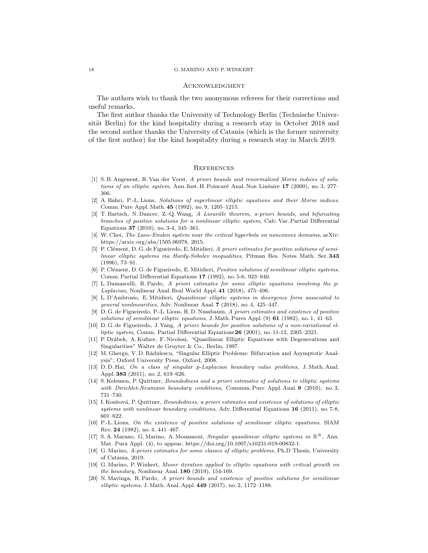#### 18 G. MARINO AND P.WINKERT

#### **ACKNOWLEDGMENT**

The authors wish to thank the two anonymous referees for their corrections and useful remarks.

The first author thanks the University of Technology Berlin (Technische Universität Berlin) for the kind hospitality during a research stay in October 2018 and the second author thanks the University of Catania (which is the former university of the first author) for the kind hospitality during a research stay in March 2019.

## **REFERENCES**

- <span id="page-17-10"></span>[1] S. B. Angenent, R. Van der Vorst, A priori bounds and renormalized Morse indices of solutions of an elliptic system, Ann. Inst. H. Poincaré Anal. Non Linéaire  $17$  (2000), no. 3, 277– 306.
- <span id="page-17-11"></span>[2] A. Bahri, P.-L. Lions, Solutions of superlinear elliptic equations and their Morse indices, Comm. Pure Appl. Math. 45 (1992), no. 9, 1205–1215.
- <span id="page-17-7"></span>[3] T. Bartsch, N. Dancer, Z.-Q. Wang, A Liouville theorem, a-priori bounds, and bifurcating branches of positive solutions for a nonlinear elliptic system, Calc. Var. Partial Differential Equations 37 (2010), no. 3-4, 345–361.
- <span id="page-17-12"></span>[4] W. Choi, The Lane-Emden system near the critical hyperbola on nonconvex domains, arXiv: https://arxiv.org/abs/1505.06978, 2015.
- <span id="page-17-5"></span>[5] P. Clément, D. G. de Figueiredo, E. Mitidieri, A priori estimates for positive solutions of semilinear elliptic systems via Hardy-Sobolev inequalities, Pitman Res. Notes Math. Ser. 343 (1996), 73–91.
- <span id="page-17-2"></span>[6] P. Clément, D. G. de Figueiredo, E. Mitidieri, Positive solutions of semilinear elliptic systems, Comm. Partial Differential Equations 17 (1992), no. 5-6, 923–940.
- <span id="page-17-13"></span>[7] L. Damascelli, R. Pardo, A priori estimates for some elliptic equations involving the p-Laplacian, Nonlinear Anal. Real World Appl. 41 (2018), 475–496.
- <span id="page-17-14"></span>[8] L. D'Ambrosio, E. Mitidieri, Quasilinear elliptic systems in divergence form associated to general nonlinearities, Adv. Nonlinear Anal. 7 (2018), no. 4, 425–447.
- <span id="page-17-3"></span>[9] D. G. de Figueiredo, P.-L. Lions, R. D. Nussbaum, A priori estimates and existence of positive solutions of semilinear elliptic equations, J. Math. Pures Appl.  $(9)$  61 (1982), no. 1, 41–63.
- <span id="page-17-6"></span>[10] D. G. de Figueiredo, J. Yang, A priori bounds for positive solutions of a non-variational elliptic system, Comm. Partial Differential Equations 26 (2001), no. 11-12, 2305–2321.
- <span id="page-17-0"></span>[11] P. Drábek, A. Kufner, F. Nicolosi, "Quasilinear Elliptic Equations with Degenerations and Singularities" Walter de Gruyter & Co., Berlin, 1997.
- <span id="page-17-15"></span>[12] M. Ghergu, V. D. Rădulescu, "Singular Elliptic Problems: Bifurcation and Asymptotic Analysis", Oxford University Press, Oxford, 2008.
- <span id="page-17-16"></span>[13] D. D. Hai, On a class of singular p-Laplacian boundary value problems, J. Math. Anal. Appl. 383 (2011), no. 2, 619–626.
- <span id="page-17-17"></span>[14] S. Kelemen, P. Quittner, Boundedness and a priori estimates of solutions to elliptic systems with Dirichlet-Neumann boundary conditions, Commun. Pure Appl. Anal. 9 (2010), no. 3, 731–740.
- <span id="page-17-18"></span>[15] I. Kosírová, P. Quittner, Boundedness, a priori estimates and existence of solutions of elliptic systems with nonlinear boundary conditions, Adv. Differential Equations 16 (2011), no. 7-8, 601–622.
- <span id="page-17-4"></span>[16] P.-L. Lions, On the existence of positive solutions of semilinear elliptic equations, SIAM Rev. 24 (1982), no. 4, 441–467.
- <span id="page-17-8"></span>[17] S. A. Marano, G. Marino, A. Moussaoui, *Singular quasilinear elliptic systems in*  $\mathbb{R}^N$ , Ann. Mat. Pura Appl. (4), to appear, https://doi.org/10.1007/s10231-019-00832-1.
- <span id="page-17-9"></span>[18] G. Marino, A-priori estimates for some classes of elliptic problems, Ph.D Thesis, University of Catania, 2019.
- <span id="page-17-1"></span>[19] G. Marino, P.Winkert, Moser iteration applied to elliptic equations with critical growth on the boundary, Nonlinear Anal. 180 (2019), 154-169.
- <span id="page-17-19"></span>[20] N. Mavinga, R. Pardo, A priori bounds and existence of positive solutions for semilinear elliptic systems, J. Math. Anal. Appl. 449 (2017), no. 2, 1172–1188.